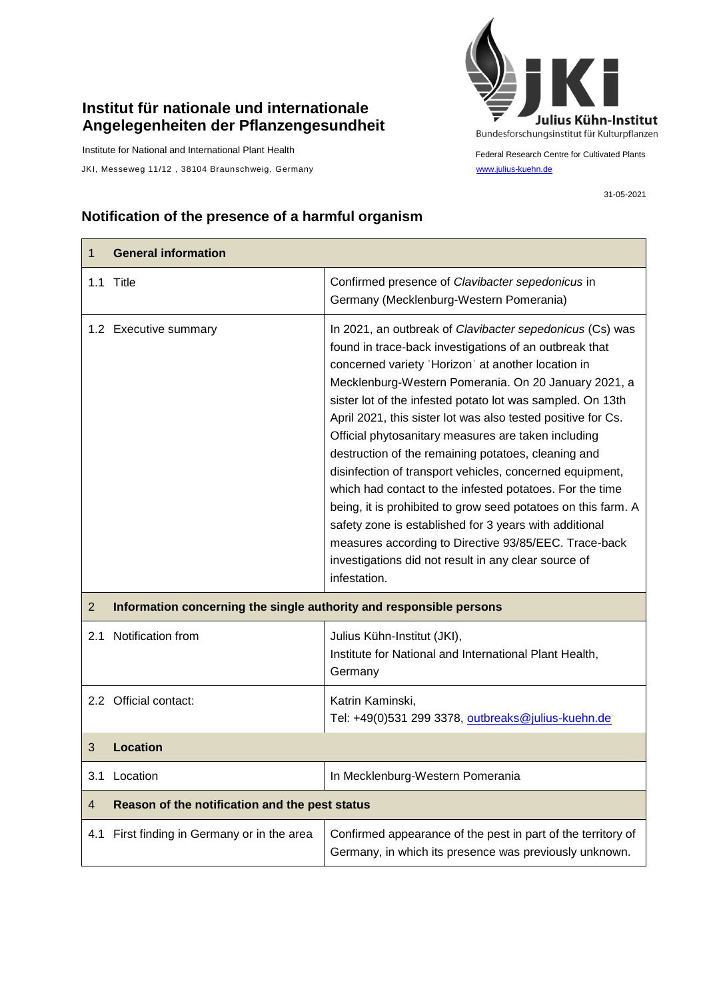## **Institut für nationale und internationale Angelegenheiten der Pflanzengesundheit**

Institute for National and International Plant Health

JKI, Messeweg 11/12, 38104 Braunschweig, Germany [www.julius-kuehn.de](http://www.julius-kuehn.de/)



Federal Research Centre for Cultivated Plants

31-05-2021

## **Notification of the presence of a harmful organism**

| 1              | <b>General information</b>                                          |                                                                                                                                                                                                                                                                                                                                                                                                                                                                                                                                                                                                                                                                                                                                                                                                                                                                  |  |
|----------------|---------------------------------------------------------------------|------------------------------------------------------------------------------------------------------------------------------------------------------------------------------------------------------------------------------------------------------------------------------------------------------------------------------------------------------------------------------------------------------------------------------------------------------------------------------------------------------------------------------------------------------------------------------------------------------------------------------------------------------------------------------------------------------------------------------------------------------------------------------------------------------------------------------------------------------------------|--|
|                | 1.1 Title                                                           | Confirmed presence of Clavibacter sepedonicus in<br>Germany (Mecklenburg-Western Pomerania)                                                                                                                                                                                                                                                                                                                                                                                                                                                                                                                                                                                                                                                                                                                                                                      |  |
|                | 1.2 Executive summary                                               | In 2021, an outbreak of Clavibacter sepedonicus (Cs) was<br>found in trace-back investigations of an outbreak that<br>concerned variety 'Horizon' at another location in<br>Mecklenburg-Western Pomerania. On 20 January 2021, a<br>sister lot of the infested potato lot was sampled. On 13th<br>April 2021, this sister lot was also tested positive for Cs.<br>Official phytosanitary measures are taken including<br>destruction of the remaining potatoes, cleaning and<br>disinfection of transport vehicles, concerned equipment,<br>which had contact to the infested potatoes. For the time<br>being, it is prohibited to grow seed potatoes on this farm. A<br>safety zone is established for 3 years with additional<br>measures according to Directive 93/85/EEC. Trace-back<br>investigations did not result in any clear source of<br>infestation. |  |
| $\overline{2}$ | Information concerning the single authority and responsible persons |                                                                                                                                                                                                                                                                                                                                                                                                                                                                                                                                                                                                                                                                                                                                                                                                                                                                  |  |
| 2.1            | Notification from                                                   | Julius Kühn-Institut (JKI),<br>Institute for National and International Plant Health,<br>Germany                                                                                                                                                                                                                                                                                                                                                                                                                                                                                                                                                                                                                                                                                                                                                                 |  |
|                | 2.2 Official contact:                                               | Katrin Kaminski,<br>Tel: +49(0)531 299 3378, outbreaks@julius-kuehn.de                                                                                                                                                                                                                                                                                                                                                                                                                                                                                                                                                                                                                                                                                                                                                                                           |  |
| 3              | <b>Location</b>                                                     |                                                                                                                                                                                                                                                                                                                                                                                                                                                                                                                                                                                                                                                                                                                                                                                                                                                                  |  |
| 3.1            | Location                                                            | In Mecklenburg-Western Pomerania                                                                                                                                                                                                                                                                                                                                                                                                                                                                                                                                                                                                                                                                                                                                                                                                                                 |  |
| 4              | Reason of the notification and the pest status                      |                                                                                                                                                                                                                                                                                                                                                                                                                                                                                                                                                                                                                                                                                                                                                                                                                                                                  |  |
| 4.1            | First finding in Germany or in the area                             | Confirmed appearance of the pest in part of the territory of<br>Germany, in which its presence was previously unknown.                                                                                                                                                                                                                                                                                                                                                                                                                                                                                                                                                                                                                                                                                                                                           |  |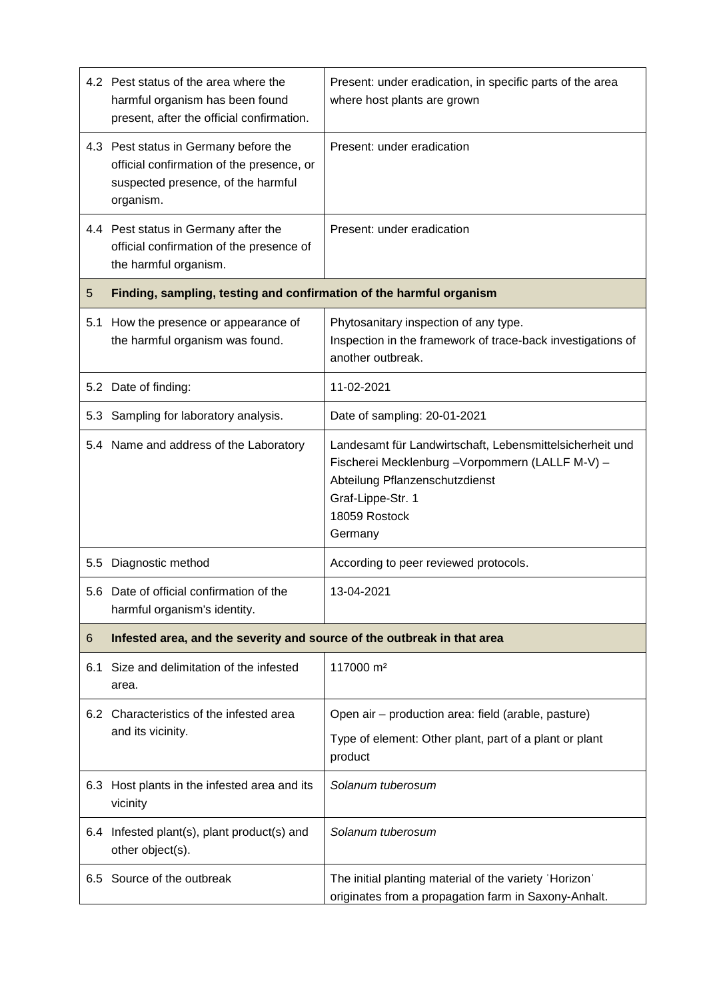|     | 4.2 Pest status of the area where the<br>harmful organism has been found<br>present, after the official confirmation.                 | Present: under eradication, in specific parts of the area<br>where host plants are grown                                                                                                        |  |
|-----|---------------------------------------------------------------------------------------------------------------------------------------|-------------------------------------------------------------------------------------------------------------------------------------------------------------------------------------------------|--|
|     | 4.3 Pest status in Germany before the<br>official confirmation of the presence, or<br>suspected presence, of the harmful<br>organism. | Present: under eradication                                                                                                                                                                      |  |
|     | 4.4 Pest status in Germany after the<br>official confirmation of the presence of<br>the harmful organism.                             | Present: under eradication                                                                                                                                                                      |  |
| 5   | Finding, sampling, testing and confirmation of the harmful organism                                                                   |                                                                                                                                                                                                 |  |
| 5.1 | How the presence or appearance of<br>the harmful organism was found.                                                                  | Phytosanitary inspection of any type.<br>Inspection in the framework of trace-back investigations of<br>another outbreak.                                                                       |  |
|     | 5.2 Date of finding:                                                                                                                  | 11-02-2021                                                                                                                                                                                      |  |
| 5.3 | Sampling for laboratory analysis.                                                                                                     | Date of sampling: 20-01-2021                                                                                                                                                                    |  |
|     | 5.4 Name and address of the Laboratory                                                                                                | Landesamt für Landwirtschaft, Lebensmittelsicherheit und<br>Fischerei Mecklenburg - Vorpommern (LALLF M-V) -<br>Abteilung Pflanzenschutzdienst<br>Graf-Lippe-Str. 1<br>18059 Rostock<br>Germany |  |
| 5.5 | Diagnostic method                                                                                                                     | According to peer reviewed protocols.                                                                                                                                                           |  |
|     | 5.6 Date of official confirmation of the<br>harmful organism's identity.                                                              | 13-04-2021                                                                                                                                                                                      |  |
| 6   | Infested area, and the severity and source of the outbreak in that area                                                               |                                                                                                                                                                                                 |  |
| 6.1 | Size and delimitation of the infested<br>area.                                                                                        | 117000 m <sup>2</sup>                                                                                                                                                                           |  |
|     | 6.2 Characteristics of the infested area                                                                                              | Open air - production area: field (arable, pasture)                                                                                                                                             |  |
|     | and its vicinity.                                                                                                                     | Type of element: Other plant, part of a plant or plant<br>product                                                                                                                               |  |
|     | 6.3 Host plants in the infested area and its<br>vicinity                                                                              | Solanum tuberosum                                                                                                                                                                               |  |
|     | 6.4 Infested plant(s), plant product(s) and<br>other object(s).                                                                       | Solanum tuberosum                                                                                                                                                                               |  |
|     | 6.5 Source of the outbreak                                                                                                            | The initial planting material of the variety 'Horizon'<br>originates from a propagation farm in Saxony-Anhalt.                                                                                  |  |